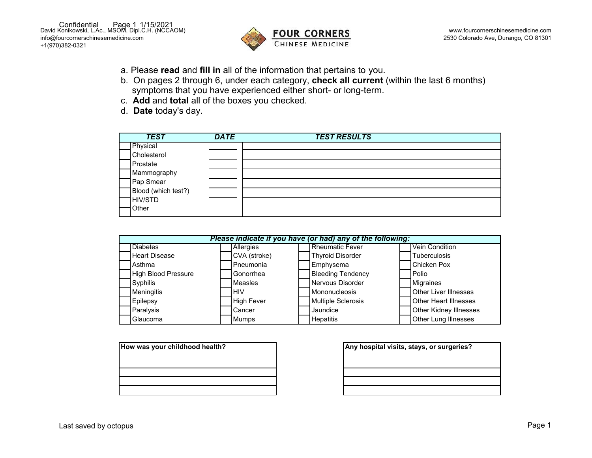

- a. Please **read** and **fill in** all of the information that pertains to you.
- b. On pages 2 through 6, under each category, **check all current** (within the last 6 months) symptoms that you have experienced either short- or long-term.
- c. **Add** and **total** all of the boxes you checked.
- d. **Date** today's day.

| <b>TEST</b>         | <b>DATE</b> | <b>TEST RESULTS</b> |
|---------------------|-------------|---------------------|
| Physical            |             |                     |
| Cholesterol         |             |                     |
| Prostate            |             |                     |
| Mammography         |             |                     |
| Pap Smear           |             |                     |
| Blood (which test?) |             |                     |
| HIV/STD             |             |                     |
| Other               |             |                     |

| Please indicate if you have (or had) any of the following: |                   |  |                           |  |                               |  |  |
|------------------------------------------------------------|-------------------|--|---------------------------|--|-------------------------------|--|--|
| <b>Diabetes</b>                                            | Allergies         |  | <b>Rheumatic Fever</b>    |  | Vein Condition                |  |  |
| <b>Heart Disease</b>                                       | CVA (stroke)      |  | <b>Thyroid Disorder</b>   |  | <b>Tuberculosis</b>           |  |  |
| Asthma                                                     | Pneumonia         |  | Emphysema                 |  | <b>Chicken Pox</b>            |  |  |
| <b>High Blood Pressure</b>                                 | Gonorrhea         |  | <b>Bleeding Tendency</b>  |  | Polio                         |  |  |
| Syphilis                                                   | <b>Measles</b>    |  | Nervous Disorder          |  | <b>Migraines</b>              |  |  |
| Meningitis                                                 | <b>HIV</b>        |  | Mononucleosis             |  | <b>Other Liver Illnesses</b>  |  |  |
| <b>Epilepsy</b>                                            | <b>High Fever</b> |  | <b>Multiple Sclerosis</b> |  | <b>Other Heart Illnesses</b>  |  |  |
| Paralysis                                                  | Cancer            |  | Jaundice                  |  | <b>Other Kidney Illnesses</b> |  |  |
| Glaucoma                                                   | Mumps             |  | <b>Hepatitis</b>          |  | <b>Other Lung Illnesses</b>   |  |  |

| How was your childhood health? | Any hospital visits, stays, or surgeries? |
|--------------------------------|-------------------------------------------|
|                                |                                           |
|                                |                                           |
|                                |                                           |

| Any hospital visits, stays, or surgeries? |  |  |  |  |  |
|-------------------------------------------|--|--|--|--|--|
|                                           |  |  |  |  |  |
|                                           |  |  |  |  |  |
|                                           |  |  |  |  |  |
|                                           |  |  |  |  |  |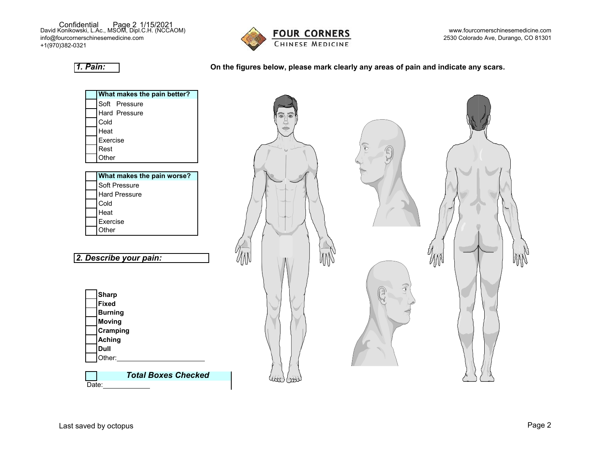David Konikowski, L.Ac., MSOM, Dipl.C.H. (NCCAOM) Confidential Page 2 1/15/2021 [info@fourcornerschinesemedicine.com](mailto:info@fourcornerschinesemedicine.com)  +1(970)382-0321



[www.fourcornerschinesemedicine.com](http://www.fourcornerschinesemedicine.com/) 2530 Colorado Ave, Durango, CO 81301

## *1. Pain:*

## **On the figures below, please mark clearly any areas of pain and indicate any scars.**

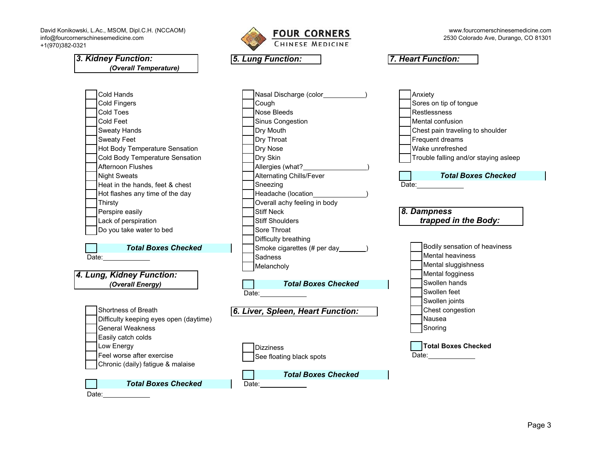David Konikowski, L.Ac., MSOM, Dipl.C.H. (NCCAOM) [info@fourcornerschinesemedicine.com](mailto:info@fourcornerschinesemedicine.com)  +1(970)382-0321



[www.fourcornerschinesemedicine.com](http://www.fourcornerschinesemedicine.com/)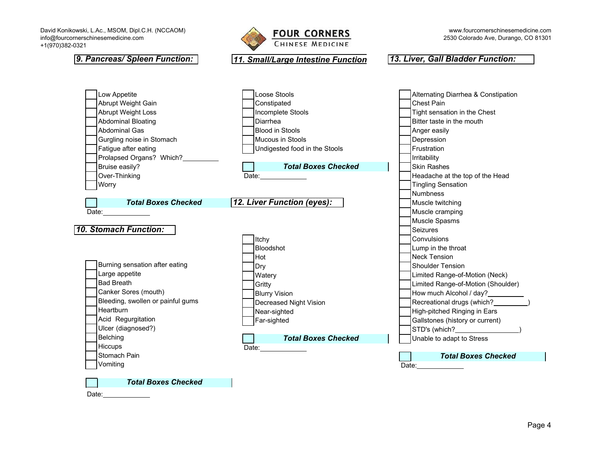David Konikowski, L.Ac., MSOM, Dipl.C.H. (NCCAOM) [info@fourcornerschinesemedicine.com](mailto:info@fourcornerschinesemedicine.com)  +1(970)382-0321



## *10. Stomach Function: Total Boxes Checked* Low Appetite Abrupt Weight Gain Abrupt Weight Loss Abdominal Bloating Abdominal Gas Gurgling noise in Stomach Fatigue after eating Prolapsed Organs? Which? Bruise easily? Over-Thinking **Worry** Date: Burning sensation after eating Large appetite Bad Breath Canker Sores (mouth) Bleeding, swollen or painful gums **Heartburn** Acid Regurgitation Ulcer (diagnosed?) Belching **Hiccups** Stomach Pain Vomiting Loose Stools **Constipated** Incomplete Stools Diarrhea Blood in Stools Mucous in Stools Undigested food in the Stools Date: Itchy Bloodshot Hot Dry **Watery Gritty** Blurry Vision Decreased Night Vision Near-sighted Far-sighted Date: Alternating Diarrhea & Constipation Chest Pain Tight sensation in the Chest Bitter taste in the mouth Anger easily Depression **Frustration** Irritability Skin Rashes Headache at the top of the Head Tingling Sensation **Numbness** Muscle twitching Muscle cramping Muscle Spasms Seizures **Convulsions** Lump in the throat Neck Tension Shoulder Tension Limited Range-of-Motion (Neck) Limited Range-of-Motion (Shoulder) How much Alcohol / day? Recreational drugs (which? ) High-pitched Ringing in Ears Gallstones (history or current) STD's (which? Unable to adapt to Stress Date: *9. Pancreas/ Spleen Function: 11. Small/Large Intestine Function 13. Liver, Gall Bladder Function: Total Boxes Checked Total Boxes Checked 12. Liver Function (eyes): Total Boxes Checked*

Date:

*Total Boxes Checked*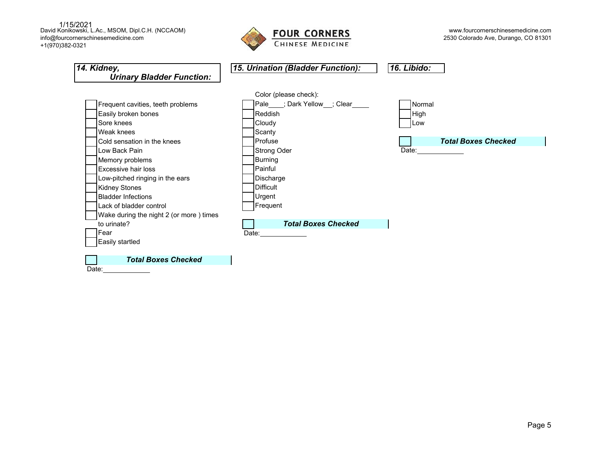1/15/2021<br>David Konikowski, L.Ac., MSOM, Dipl.C.H. (NCCAOM) [info@fourcornerschinesemedicine.com](mailto:info@fourcornerschinesemedicine.com)  +1(970)382-0321



| 14. Kidney,<br><b>Urinary Bladder Function:</b> | 15. Urination (Bladder Function):    | 16. Libido:                                                                                                                                                                                                                    |
|-------------------------------------------------|--------------------------------------|--------------------------------------------------------------------------------------------------------------------------------------------------------------------------------------------------------------------------------|
|                                                 | Color (please check):                |                                                                                                                                                                                                                                |
| Frequent cavities, teeth problems               | Pale ___; Dark Yellow __; Clear ____ | Normal                                                                                                                                                                                                                         |
| Easily broken bones                             | Reddish                              | High                                                                                                                                                                                                                           |
| Sore knees                                      | Cloudy                               | Low                                                                                                                                                                                                                            |
| Weak knees                                      | Scanty                               |                                                                                                                                                                                                                                |
| Cold sensation in the knees                     | Profuse                              | <b>Total Boxes Checked</b>                                                                                                                                                                                                     |
| Low Back Pain                                   | <b>Strong Oder</b>                   | Date: the contract of the contract of the contract of the contract of the contract of the contract of the contract of the contract of the contract of the contract of the contract of the contract of the contract of the cont |
| Memory problems                                 | <b>Burning</b>                       |                                                                                                                                                                                                                                |
| <b>Excessive hair loss</b>                      | Painful                              |                                                                                                                                                                                                                                |
| Low-pitched ringing in the ears                 | Discharge                            |                                                                                                                                                                                                                                |
| <b>Kidney Stones</b>                            | <b>Difficult</b>                     |                                                                                                                                                                                                                                |
| <b>Bladder Infections</b>                       | Urgent                               |                                                                                                                                                                                                                                |
| Lack of bladder control                         | Frequent                             |                                                                                                                                                                                                                                |
| Wake during the night 2 (or more) times         |                                      |                                                                                                                                                                                                                                |
| to urinate?                                     | <b>Total Boxes Checked</b>           |                                                                                                                                                                                                                                |
| Fear                                            | Date:                                |                                                                                                                                                                                                                                |
| Easily startled                                 |                                      |                                                                                                                                                                                                                                |
|                                                 |                                      |                                                                                                                                                                                                                                |
| <b>Total Boxes Checked</b>                      |                                      |                                                                                                                                                                                                                                |
| Date:                                           |                                      |                                                                                                                                                                                                                                |